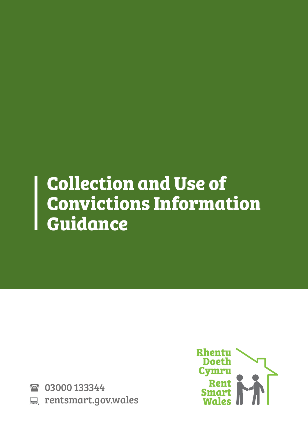# **Collection and Use of Convictions Information Guidance**

2 03000 133344 **EXECUTE: PROPRIATE: PROPRIATE: EXECUTE** 

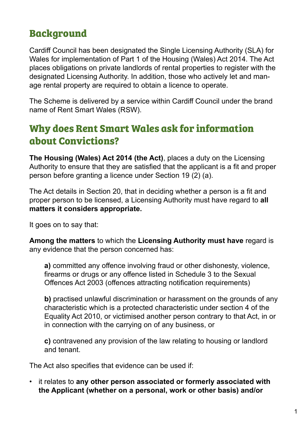# **Background**

Cardiff Council has been designated the Single Licensing Authority (SLA) for Wales for implementation of Part 1 of the Housing (Wales) Act 2014. The Act places obligations on private landlords of rental properties to register with the designated Licensing Authority. In addition, those who actively let and manage rental property are required to obtain a licence to operate.

The Scheme is delivered by a service within Cardiff Council under the brand name of Rent Smart Wales (RSW).

## **Why does Rent Smart Wales ask for information about Convictions?**

**The Housing (Wales) Act 2014 (the Act)**, places a duty on the Licensing Authority to ensure that they are satisfied that the applicant is a fit and proper person before granting a licence under Section 19 (2) (a).

The Act details in Section 20, that in deciding whether a person is a fit and proper person to be licensed, a Licensing Authority must have regard to **all matters it considers appropriate.** 

It goes on to say that:

**Among the matters** to which the **Licensing Authority must have** regard is any evidence that the person concerned has:

**a)** committed any offence involving fraud or other dishonesty, violence, firearms or drugs or any offence listed in Schedule 3 to the Sexual Offences Act 2003 (offences attracting notification requirements)

**b)** practised unlawful discrimination or harassment on the grounds of any characteristic which is a protected characteristic under section 4 of the Equality Act 2010, or victimised another person contrary to that Act, in or in connection with the carrying on of any business, or

**c)** contravened any provision of the law relating to housing or landlord and tenant.

The Act also specifies that evidence can be used if:

• it relates to **any other person associated or formerly associated with the Applicant (whether on a personal, work or other basis) and/or**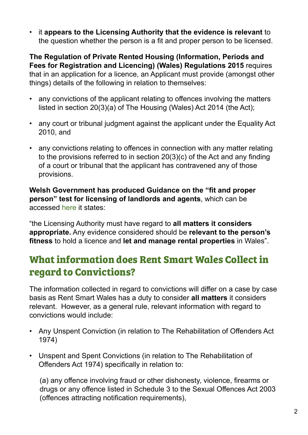• it **appears to the Licensing Authority that the evidence is relevant** to the question whether the person is a fit and proper person to be licensed.

**The Regulation of Private Rented Housing (Information, Periods and Fees for Registration and Licencing) (Wales) Regulations 2015** requires that in an application for a licence, an Applicant must provide (amongst other things) details of the following in relation to themselves:

- any convictions of the applicant relating to offences involving the matters listed in section 20(3)(a) of The Housing (Wales) Act 2014 (the Act);
- any court or tribunal judgment against the applicant under the Equality Act 2010, and
- any convictions relating to offences in connection with any matter relating to the provisions referred to in section 20(3)(c) of the Act and any finding of a court or tribunal that the applicant has contravened any of those provisions.

**Welsh Government has produced Guidance on the "fit and proper person" test for licensing of landlords and agents**, which can be accessed [here](https://gov.wales/sites/default/files/publications/2019-03/guidance-on-fit-and-proper-person-test-for-licesning-landlords-and-agents.pdf) it states:

"the Licensing Authority must have regard to **all matters it considers appropriate.** Any evidence considered should be **relevant to the person's fitness** to hold a licence and **let and manage rental properties** in Wales".

## **What information does Rent Smart Wales Collect in regard to Convictions?**

The information collected in regard to convictions will differ on a case by case basis as Rent Smart Wales has a duty to consider **all matters** it considers relevant. However, as a general rule, relevant information with regard to convictions would include:

- Any Unspent Conviction (in relation to The Rehabilitation of Offenders Act 1974)
- Unspent and Spent Convictions (in relation to The Rehabilitation of Offenders Act 1974) specifically in relation to:

(a) any offence involving fraud or other dishonesty, violence, firearms or drugs or any offence listed in Schedule 3 to the Sexual Offences Act 2003 (offences attracting notification requirements),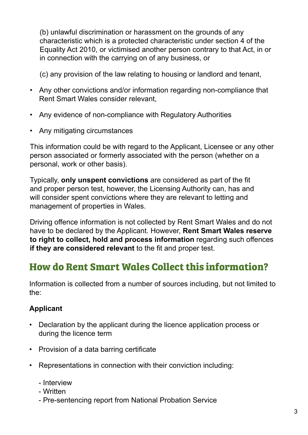(b) unlawful discrimination or harassment on the grounds of any characteristic which is a protected characteristic under section 4 of the Equality Act 2010, or victimised another person contrary to that Act, in or in connection with the carrying on of any business, or

(c) any provision of the law relating to housing or landlord and tenant,

- Any other convictions and/or information regarding non-compliance that Rent Smart Wales consider relevant,
- Any evidence of non-compliance with Regulatory Authorities
- Any mitigating circumstances

This information could be with regard to the Applicant, Licensee or any other person associated or formerly associated with the person (whether on a personal, work or other basis).

Typically, **only unspent convictions** are considered as part of the fit and proper person test, however, the Licensing Authority can, has and will consider spent convictions where they are relevant to letting and management of properties in Wales.

Driving offence information is not collected by Rent Smart Wales and do not have to be declared by the Applicant. However, **Rent Smart Wales reserve to right to collect, hold and process information** regarding such offences **if they are considered relevant** to the fit and proper test.

## **How do Rent Smart Wales Collect this information?**

Information is collected from a number of sources including, but not limited to the:

#### **Applicant**

- Declaration by the applicant during the licence application process or during the licence term
- Provision of a data barring certificate
- Representations in connection with their conviction including:
	- Interview
	- Written
	- Pre-sentencing report from National Probation Service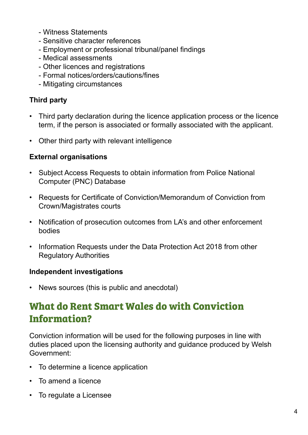- Witness Statements
- Sensitive character references
- Employment or professional tribunal/panel findings
- Medical assessments
- Other licences and registrations
- Formal notices/orders/cautions/fines
- Mitigating circumstances

#### **Third party**

- Third party declaration during the licence application process or the licence term, if the person is associated or formally associated with the applicant.
- Other third party with relevant intelligence

#### **External organisations**

- Subject Access Requests to obtain information from Police National Computer (PNC) Database
- Requests for Certificate of Conviction/Memorandum of Conviction from Crown/Magistrates courts
- Notification of prosecution outcomes from LA's and other enforcement bodies
- Information Requests under the Data Protection Act 2018 from other Regulatory Authorities

#### **Independent investigations**

• News sources (this is public and anecdotal)

## **What do Rent Smart Wales do with Conviction Information?**

Conviction information will be used for the following purposes in line with duties placed upon the licensing authority and guidance produced by Welsh Government:

- To determine a licence application
- To amend a licence
- To regulate a Licensee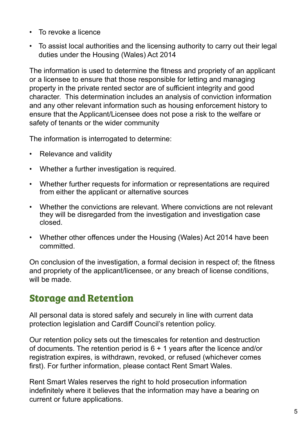- To revoke a licence
- To assist local authorities and the licensing authority to carry out their legal duties under the Housing (Wales) Act 2014

The information is used to determine the fitness and propriety of an applicant or a licensee to ensure that those responsible for letting and managing property in the private rented sector are of sufficient integrity and good character. This determination includes an analysis of conviction information and any other relevant information such as housing enforcement history to ensure that the Applicant/Licensee does not pose a risk to the welfare or safety of tenants or the wider community

The information is interrogated to determine:

- Relevance and validity
- Whether a further investigation is required.
- Whether further requests for information or representations are required from either the applicant or alternative sources
- Whether the convictions are relevant. Where convictions are not relevant they will be disregarded from the investigation and investigation case closed.
- Whether other offences under the Housing (Wales) Act 2014 have been committed.

On conclusion of the investigation, a formal decision in respect of; the fitness and propriety of the applicant/licensee, or any breach of license conditions, will be made.

### **Storage and Retention**

All personal data is stored safely and securely in line with current data protection legislation and Cardiff Council's retention policy.

Our retention policy sets out the timescales for retention and destruction of documents. The retention period is 6 + 1 years after the licence and/or registration expires, is withdrawn, revoked, or refused (whichever comes first). For further information, please contact Rent Smart Wales.

Rent Smart Wales reserves the right to hold prosecution information indefinitely where it believes that the information may have a bearing on current or future applications.